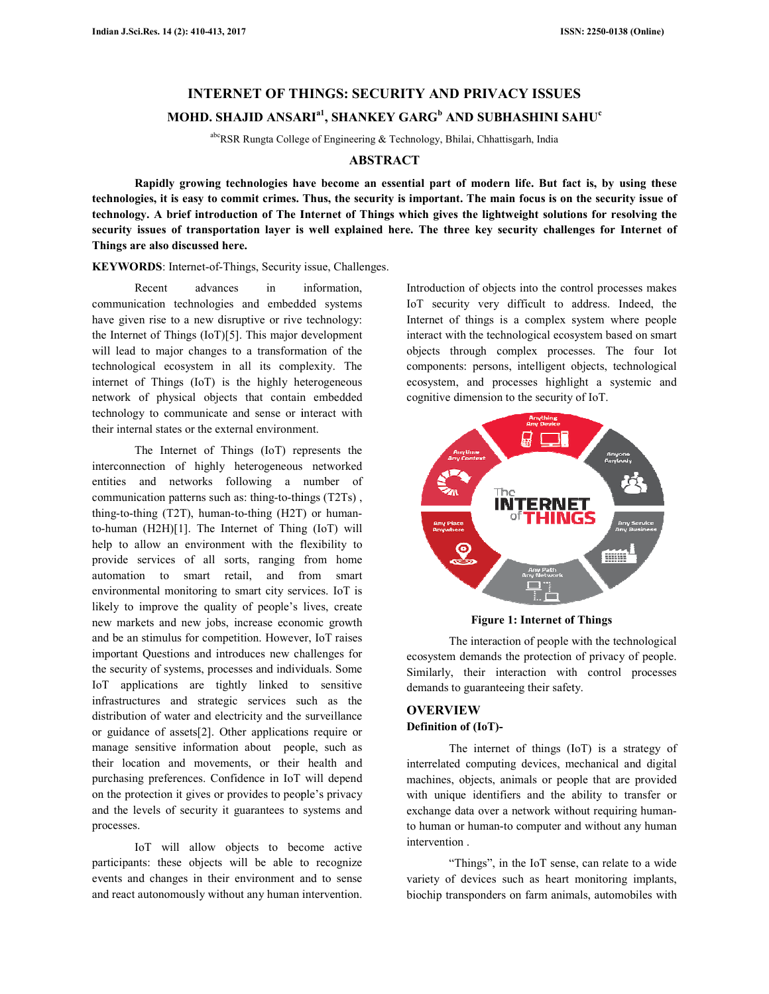# **INTERNET OF THINGS: SECURITY AND PRIVACY ISSUES**

# **MOHD. SHAJID ANSARI a1, SHANKEY GARG<sup>b</sup> AND SUBHASHINI SAHU c**

abcRSR Rungta College of Engineering & Technology, Bhilai, Chhattisgarh, India

## **ABSTRACT**

Rapidly growing technologies have become an essential part of modern life. But fact is, by using these technologies, it is easy to commit crimes. Thus, the security is important. The main focus is on the security issue of **technology. A brief introduction of The Internet of Things which gives the lightweight solutions for resolving the**  technology. A brief introduction of The Internet of Things which gives the lightweight solutions for resolving the<br>security issues of transportation layer is well explained here. The three key security challenges for Inter **Things are also discussed here.** 

**KEYWORDS**: Internet-of-Things, Security issue, Challenges.

Recent advances in information, communication technologies and embedded systems have given rise to a new disruptive or rive technology: the Internet of Things (IoT)[5]. This major development will lead to major changes to a transformation of the technological ecosystem in all its complexity. The internet of Things (IoT) is the highly heterogeneous network of physical objects that contain embedded technology to communicate and sense or interact with their internal states or the external environment. **KEYWORDS**: Internet-of-Things, Security issue, Challe<br>
Recent advances in information,<br>
communication technologies and embedded systems<br>
have given rise to a new disruptive or rive technology:<br>
the Internet of Things  $[1$ 

The Internet of Things (IoT) represents the interconnection of highly heterogeneous networked entities and networks following a number of communication patterns such as: thing-to-things (T2Ts) , thing-to-thing (T2T), human-to-thing (H2T) or human to-human (H2H)[1]. The Internet of Thing (IoT) will help to allow an environment with the flexibility to provide services of all sorts, ranging from home automation to smart retail, and from smart environmental monitoring to smart city services. IoT is likely to improve the quality of people's lives, create new markets and new jobs, increase economic growth and be an stimulus for competition. However, IoT raises important Questions and introduces new challenges for the security of systems, processes and individuals. Some IoT applications are tightly linked to sensitive infrastructures and strategic services such as the distribution of water and electricity and the surveillance or guidance of assets[2]. Other applications require or manage sensitive information about people, such as their location and movements, or their health and purchasing preferences. Confidence in IoT will depend on the protection it gives or provides to people's privacy and the levels of security it guarantees to systems and processes. numan (H2H)[1]. The Internet of Thing (IoT) will<br>p to allow an environment with the flexibility to<br>vide services of all sorts, ranging from home<br>omation to smart retail, and from smart<br>rironmental monitoring to smart city Recent a control of the state in information of the state of objects into have the control properties in the components in the components in the control process makes the process in the control of objects in the control p

IoT will allow objects to become active participants: these objects will be able to recognize events and changes in their environment and to sense and react autonomously without any human intervention.

IoT security very difficult to address. Indeed, the Internet of things is a complex system where people interact with the technological ecosystem based on smart objects through complex processes. The four Iot components: persons, intelligent objects, technological ecosystem, and processes highlight a systemic and cognitive dimension to the security of IoT.



**Figure 1: Internet of Things**

The interaction of people with the technological ecosystem demands the protection of privacy of people. Similarly, their interaction with control processes demands to guaranteeing their safety.

# **OVERVIEW Definition of (IoT)-**

The internet of things (IoT) is a strategy of interrelated computing devices, mechanical and digital machines, objects, animals or people that are provided with unique identifiers and the ability to transfer or exchange data over a network without requiring human to human or human-to computer and without any human intervention . demands to guaranteeing their safety.<br> **OVERVIEW**<br>
Definition of (IoT)-<br>
The internet of things (IoT) is a strategy of<br>
interrelated computing devices, mechanical and digital<br>
machines, objects, animals or people that are

"Things", in the IoT sense, can relate to a wide variety of devices such as heart monitoring implants, variety of devices such as heart monitoring implants, biochip transponders on farm animals, automobiles with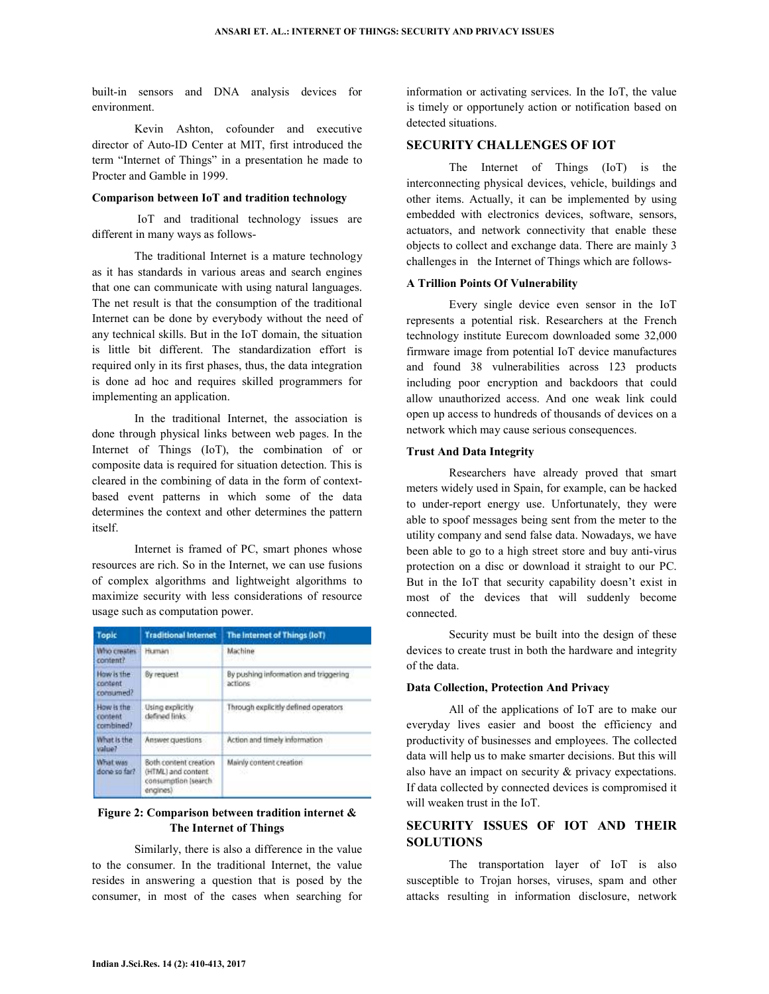built-in sensors and DNA analysis devices for environment.

 Kevin Ashton, cofounder and executive director of Auto-ID Center at MIT, first introduced the term "Internet of Things" in a presentation he made to Procter and Gamble in 1999.

### **Comparison between IoT and tradition technology**

 IoT and traditional technology issues are different in many ways as follows-

 The traditional Internet is a mature technology as it has standards in various areas and search engines that one can communicate with using natural languages. The net result is that the consumption of the traditional Internet can be done by everybody without the need of any technical skills. But in the IoT domain, the situation is little bit different. The standardization effort is required only in its first phases, thus, the data integration is done ad hoc and requires skilled programmers for implementing an application.

 In the traditional Internet, the association is done through physical links between web pages. In the Internet of Things (IoT), the combination of or composite data is required for situation detection. This is cleared in the combining of data in the form of contextbased event patterns in which some of the data determines the context and other determines the pattern itself.

 Internet is framed of PC, smart phones whose resources are rich. So in the Internet, we can use fusions of complex algorithms and lightweight algorithms to maximize security with less considerations of resource usage such as computation power.

| <b>Topic</b>                       | <b>Traditional Internet</b>                                                       | The Internet of Things (IoT)                     |
|------------------------------------|-----------------------------------------------------------------------------------|--------------------------------------------------|
| Who creates<br>content?            | Human:                                                                            | <b>Machine</b><br>MACHINE AN                     |
| How is the<br>content<br>consumed? | <b>By request</b>                                                                 | By pushing information and triggering<br>actions |
| How is the<br>content<br>combined? | Using explicitly<br>defined links                                                 | Through explicitly defined operators             |
| What Is the<br>value?              | Answer questions                                                                  | Action and timely information                    |
| What was<br>done so fact.          | Soth content creation<br>(HTML) and content.<br>consumption (search)<br>engines). | Mainly content creation                          |

## **Figure 2: Comparison between tradition internet & The Internet of Things**

 Similarly, there is also a difference in the value to the consumer. In the traditional Internet, the value resides in answering a question that is posed by the consumer, in most of the cases when searching for

information or activating services. In the IoT, the value is timely or opportunely action or notification based on detected situations.

## **SECURITY CHALLENGES OF IOT**

 The Internet of Things (IoT) is the interconnecting physical devices, vehicle, buildings and other items. Actually, it can be implemented by using embedded with electronics devices, software, sensors, actuators, and network connectivity that enable these objects to collect and exchange data. There are mainly 3 challenges in the Internet of Things which are follows-

## **A Trillion Points Of Vulnerability**

 Every single device even sensor in the IoT represents a potential risk. Researchers at the French technology institute Eurecom downloaded some 32,000 firmware image from potential IoT device manufactures and found 38 vulnerabilities across 123 products including poor encryption and backdoors that could allow unauthorized access. And one weak link could open up access to hundreds of thousands of devices on a network which may cause serious consequences.

## **Trust And Data Integrity**

 Researchers have already proved that smart meters widely used in Spain, for example, can be hacked to under-report energy use. Unfortunately, they were able to spoof messages being sent from the meter to the utility company and send false data. Nowadays, we have been able to go to a high street store and buy anti-virus protection on a disc or download it straight to our PC. But in the IoT that security capability doesn't exist in most of the devices that will suddenly become connected.

 Security must be built into the design of these devices to create trust in both the hardware and integrity of the data.

## **Data Collection, Protection And Privacy**

 All of the applications of IoT are to make our everyday lives easier and boost the efficiency and productivity of businesses and employees. The collected data will help us to make smarter decisions. But this will also have an impact on security & privacy expectations. If data collected by connected devices is compromised it will weaken trust in the IoT.

# **SECURITY ISSUES OF IOT AND THEIR SOLUTIONS**

 The transportation layer of IoT is also susceptible to Trojan horses, viruses, spam and other attacks resulting in information disclosure, network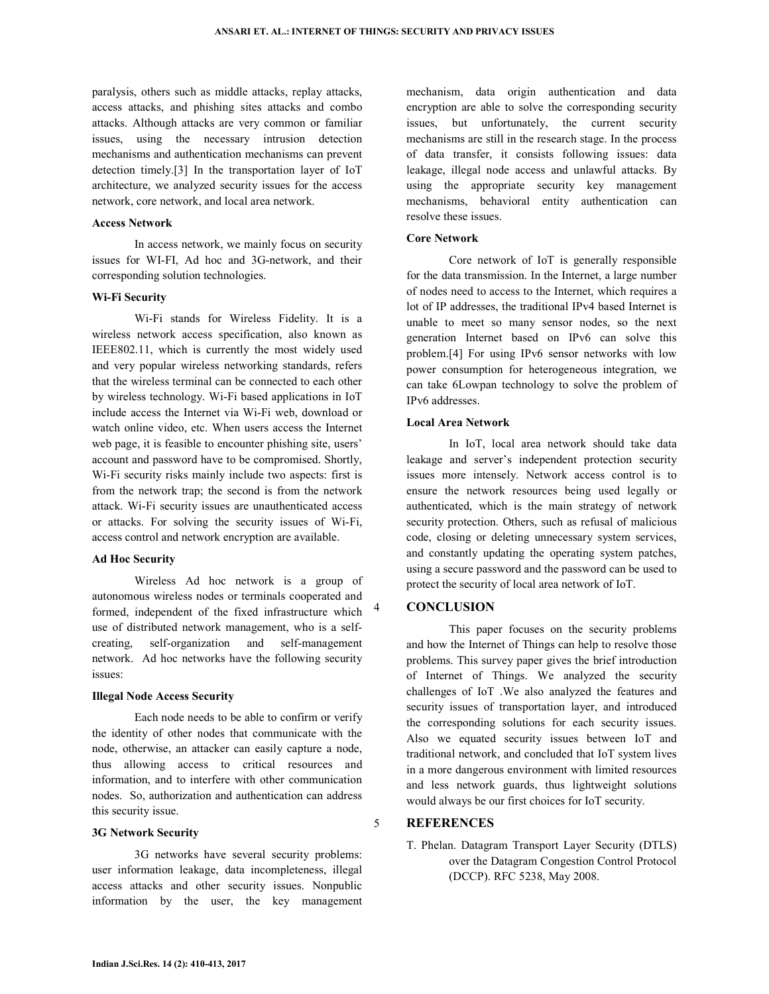paralysis, others such as middle attacks, replay attacks, access attacks, and phishing sites attacks and combo attacks. Although attacks are very common or familiar issues, using the necessary intrusion detection mechanisms and authentication mechanisms can prevent detection timely.[3] In the transportation layer of IoT architecture, we analyzed security issues for the access network, core network, and local area network.

#### **Access Network**

 In access network, we mainly focus on security issues for WI-FI, Ad hoc and 3G-network, and their corresponding solution technologies.

#### **Wi-Fi Security**

 Wi-Fi stands for Wireless Fidelity. It is a wireless network access specification, also known as IEEE802.11, which is currently the most widely used and very popular wireless networking standards, refers that the wireless terminal can be connected to each other by wireless technology. Wi-Fi based applications in IoT include access the Internet via Wi-Fi web, download or watch online video, etc. When users access the Internet web page, it is feasible to encounter phishing site, users' account and password have to be compromised. Shortly, Wi-Fi security risks mainly include two aspects: first is from the network trap; the second is from the network attack. Wi-Fi security issues are unauthenticated access or attacks. For solving the security issues of Wi-Fi, access control and network encryption are available.

#### **Ad Hoc Security**

 Wireless Ad hoc network is a group of autonomous wireless nodes or terminals cooperated and formed, independent of the fixed infrastructure which use of distributed network management, who is a selfcreating, self-organization and self-management network. Ad hoc networks have the following security issues:

### **Illegal Node Access Security**

 Each node needs to be able to confirm or verify the identity of other nodes that communicate with the node, otherwise, an attacker can easily capture a node, thus allowing access to critical resources and information, and to interfere with other communication nodes. So, authorization and authentication can address this security issue.

#### **3G Network Security**

 3G networks have several security problems: user information leakage, data incompleteness, illegal access attacks and other security issues. Nonpublic information by the user, the key management

mechanism, data origin authentication and data encryption are able to solve the corresponding security issues, but unfortunately, the current security mechanisms are still in the research stage. In the process of data transfer, it consists following issues: data leakage, illegal node access and unlawful attacks. By using the appropriate security key management mechanisms, behavioral entity authentication can resolve these issues.

#### **Core Network**

 Core network of IoT is generally responsible for the data transmission. In the Internet, a large number of nodes need to access to the Internet, which requires a lot of IP addresses, the traditional IPv4 based Internet is unable to meet so many sensor nodes, so the next generation Internet based on IPv6 can solve this problem.[4] For using IPv6 sensor networks with low power consumption for heterogeneous integration, we can take 6Lowpan technology to solve the problem of IPv6 addresses.

## **Local Area Network**

 In IoT, local area network should take data leakage and server's independent protection security issues more intensely. Network access control is to ensure the network resources being used legally or authenticated, which is the main strategy of network security protection. Others, such as refusal of malicious code, closing or deleting unnecessary system services, and constantly updating the operating system patches, using a secure password and the password can be used to protect the security of local area network of IoT.

## 4 **CONCLUSION**

 This paper focuses on the security problems and how the Internet of Things can help to resolve those problems. This survey paper gives the brief introduction of Internet of Things. We analyzed the security challenges of IoT .We also analyzed the features and security issues of transportation layer, and introduced the corresponding solutions for each security issues. Also we equated security issues between IoT and traditional network, and concluded that IoT system lives in a more dangerous environment with limited resources and less network guards, thus lightweight solutions would always be our first choices for IoT security.

# 5 **REFERENCES**

T. Phelan. Datagram Transport Layer Security (DTLS) over the Datagram Congestion Control Protocol (DCCP). RFC 5238, May 2008.